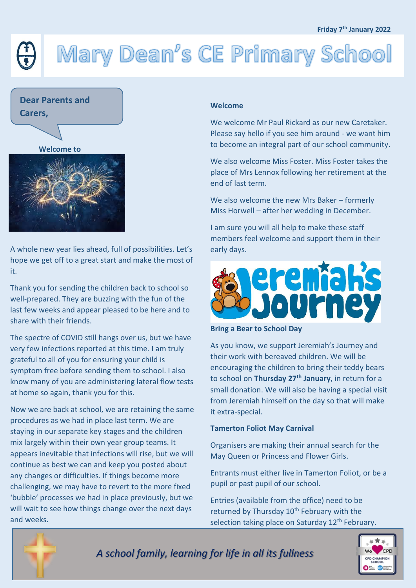# Mary Dean's CE Primary School



**Welcome to**



A whole new year lies ahead, full of possibilities. Let's hope we get off to a great start and make the most of it.

Thank you for sending the children back to school so well-prepared. They are buzzing with the fun of the last few weeks and appear pleased to be here and to share with their friends.

The spectre of COVID still hangs over us, but we have very few infections reported at this time. I am truly grateful to all of you for ensuring your child is symptom free before sending them to school. I also know many of you are administering lateral flow tests at home so again, thank you for this.

Now we are back at school, we are retaining the same procedures as we had in place last term. We are staying in our separate key stages and the children mix largely within their own year group teams. It appears inevitable that infections will rise, but we will continue as best we can and keep you posted about any changes or difficulties. If things become more challenging, we may have to revert to the more fixed 'bubble' processes we had in place previously, but we will wait to see how things change over the next days and weeks.

#### **Welcome**

We welcome Mr Paul Rickard as our new Caretaker. Please say hello if you see him around - we want him to become an integral part of our school community.

We also welcome Miss Foster. Miss Foster takes the place of Mrs Lennox following her retirement at the end of last term.

We also welcome the new Mrs Baker – formerly Miss Horwell – after her wedding in December.

I am sure you will all help to make these staff members feel welcome and support them in their early days.



**Bring a Bear to School Day**

As you know, we support Jeremiah's Journey and their work with bereaved children. We will be encouraging the children to bring their teddy bears to school on **Thursday 27th January**, in return for a small donation. We will also be having a special visit from Jeremiah himself on the day so that will make it extra-special.

#### **Tamerton Foliot May Carnival**

Organisers are making their annual search for the May Queen or Princess and Flower Girls.

Entrants must either live in Tamerton Foliot, or be a pupil or past pupil of our school.

Entries (available from the office) need to be returned by Thursday 10<sup>th</sup> February with the selection taking place on Saturday 12<sup>th</sup> February.





*A school family, learning for life in all its fullness*